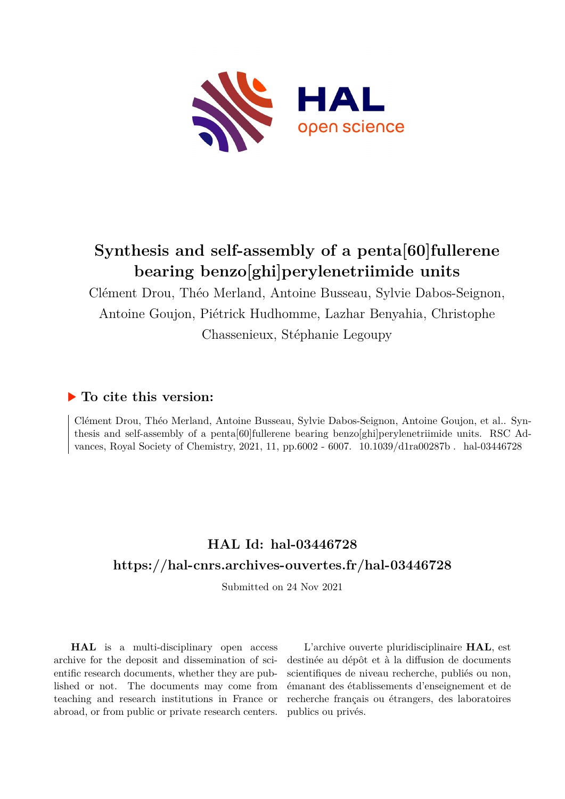

# **Synthesis and self-assembly of a penta[60]fullerene bearing benzo[ghi]perylenetriimide units**

Clément Drou, Théo Merland, Antoine Busseau, Sylvie Dabos-Seignon, Antoine Goujon, Piétrick Hudhomme, Lazhar Benyahia, Christophe Chassenieux, Stéphanie Legoupy

## **To cite this version:**

Clément Drou, Théo Merland, Antoine Busseau, Sylvie Dabos-Seignon, Antoine Goujon, et al.. Synthesis and self-assembly of a penta[60]fullerene bearing benzo[ghi]perylenetriimide units. RSC Advances, Royal Society of Chemistry, 2021, 11, pp.6002 - 6007. 10.1039/d1ra00287b . hal-03446728

# **HAL Id: hal-03446728 <https://hal-cnrs.archives-ouvertes.fr/hal-03446728>**

Submitted on 24 Nov 2021

**HAL** is a multi-disciplinary open access archive for the deposit and dissemination of scientific research documents, whether they are published or not. The documents may come from teaching and research institutions in France or abroad, or from public or private research centers.

L'archive ouverte pluridisciplinaire **HAL**, est destinée au dépôt et à la diffusion de documents scientifiques de niveau recherche, publiés ou non, émanant des établissements d'enseignement et de recherche français ou étrangers, des laboratoires publics ou privés.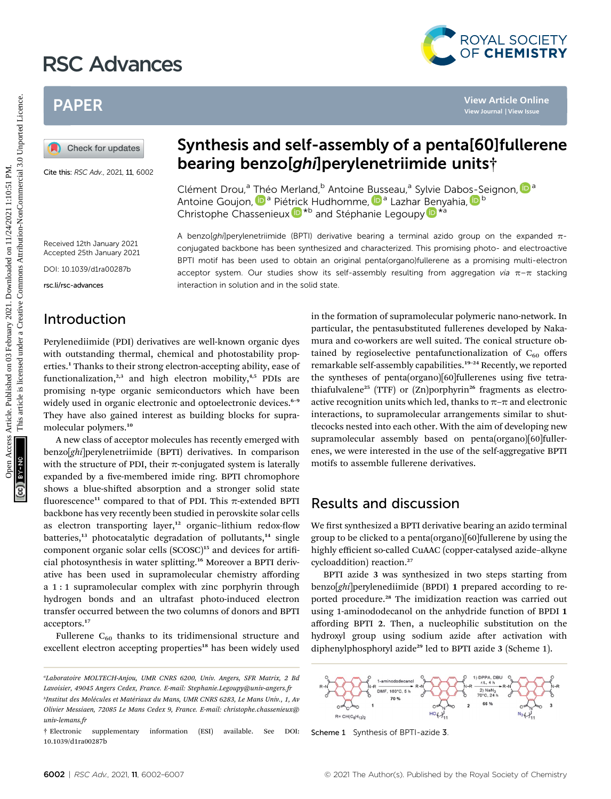# RSC Advances



# PAPER

Cite this: RSC Adv., 2021, 11, 6002

## Synthesis and self-assembly of a penta[60]fullerene bearing benzo[ghi]perylenetriimide units†

A benzo[ghi]perylenetriimide (BPTI) derivative bearing a terminal azido group on the expanded  $\pi$ conjugated backbone has been synthesized and characterized. This promising photo- and electroactive BPTI motif has been used to obtain an original penta(organo)fullerene as a promising multi-electron acceptor system. Our studies show its self-assembly resulting from aggregation via  $\pi-\pi$  stacking

Clément Drou,<sup>a</sup> Théo Merland,<sup>b</sup> Antoine [Bus](http://orcid.org/0000-0002-7383-9603)seau[,](http://orcid.org/0000-0002-7900-6354)<sup>a</sup> Sylvie Dabos-Seignon, D<sup>a</sup> Antoine Goujon, <sup>in a</sup> Pié[tric](http://orcid.org/0000-0002-3859-8277)k Hudhomme, i<sup>n a</sup> Lazhar [Ben](http://orcid.org/0000-0001-9535-014X)yahia[,](http://orcid.org/0000-0002-8910-4097) in <sup>b</sup> Christophe Chassenieux  $\mathbf{D}^{*b}$  and Stéphanie Legoupy  $\mathbf{D}^{*a}$ 

Received 12th January 2021 Accepted 25th January 2021

DOI: 10.1039/d1ra00287b

rsc.li/rsc-advances

## Introduction

Perylenediimide (PDI) derivatives are well-known organic dyes with outstanding thermal, chemical and photostability properties.<sup>1</sup> Thanks to their strong electron-accepting ability, ease of functionalization,<sup>2,3</sup> and high electron mobility,<sup>4,5</sup> PDIs are promising n-type organic semiconductors which have been widely used in organic electronic and optoelectronic devices.<sup>6-9</sup> They have also gained interest as building blocks for supramolecular polymers.<sup>10</sup>

interaction in solution and in the solid state.

A new class of acceptor molecules has recently emerged with benzo[ghi]perylenetriimide (BPTI) derivatives. In comparison with the structure of PDI, their  $\pi$ -conjugated system is laterally expanded by a five-membered imide ring. BPTI chromophore shows a blue-shifted absorption and a stronger solid state fluorescence<sup>11</sup> compared to that of PDI. This  $\pi$ -extended BPTI backbone has very recently been studied in perovskite solar cells as electron transporting layer, $12$  organic-lithium redox-flow batteries, $13$  photocatalytic degradation of pollutants, $14$  single component organic solar cells (SCOSC)<sup>15</sup> and devices for artificial photosynthesis in water splitting.<sup>16</sup> Moreover a BPTI derivative has been used in supramolecular chemistry affording a 1 : 1 supramolecular complex with zinc porphyrin through hydrogen bonds and an ultrafast photo-induced electron transfer occurred between the two columns of donors and BPTI acceptors.<sup>17</sup>

Fullerene  $C_{60}$  thanks to its tridimensional structure and excellent electron accepting properties<sup>18</sup> has been widely used

in the formation of supramolecular polymeric nano-network. In particular, the pentasubstituted fullerenes developed by Nakamura and co-workers are well suited. The conical structure obtained by regioselective pentafunctionalization of  $C_{60}$  offers remarkable self-assembly capabilities.<sup>19-24</sup> Recently, we reported the syntheses of penta(organo)[60]fullerenes using five tetrathiafulvalene<sup>25</sup> (TTF) or  $(Zn)$ porphyrin<sup>26</sup> fragments as electroactive recognition units which led, thanks to  $\pi-\pi$  and electronic interactions, to supramolecular arrangements similar to shuttlecocks nested into each other. With the aim of developing new supramolecular assembly based on penta(organo)[60]fullerenes, we were interested in the use of the self-aggregative BPTI motifs to assemble fullerene derivatives. PAPER<br>
(a) Check for updates<br>
Cate the RCC AA<sub>2</sub>, 2021, 11, 6002<br>
Cate the RCC AA<sub>2</sub>, 2021, 11, 6002<br>
Cate the RCC AA<sub>2</sub>, 2021, 11, 6002<br>
Cate the RCC AA<sub>2</sub>, 2021, 11, 6002<br>
Cate the RCC AA<sub>2</sub>, 2021, 11, 6002<br>
Cate the RC

### Results and discussion

We first synthesized a BPTI derivative bearing an azido terminal group to be clicked to a penta(organo)[60]fullerene by using the highly efficient so-called CuAAC (copper-catalysed azide–alkyne cycloaddition) reaction.<sup>27</sup>

BPTI azide 3 was synthesized in two steps starting from benzo[ghi]perylenediimide (BPDI) 1 prepared according to reported procedure.<sup>28</sup> The imidization reaction was carried out using 1-aminododecanol on the anhydride function of BPDI 1 affording BPTI 2. Then, a nucleophilic substitution on the hydroxyl group using sodium azide after activation with diphenylphosphoryl azide<sup>29</sup> led to BPTI azide 3 (Scheme 1).



Scheme 1 Synthesis of BPTI-azide 3

a Laboratoire MOLTECH-Anjou, UMR CNRS 6200, Univ. Angers, SFR Matrix, 2 Bd Lavoisier, 49045 Angers Cedex, France. E-mail: Stephanie.Legoupy@univ-angers.fr

bInstitut des Molécules et Matériaux du Mans, UMR CNRS 6283, Le Mans Univ., 1, Av Olivier Messiaen, 72085 Le Mans Cedex 9, France. E-mail: christophe.chassenieux@ univ-lemans.fr

<sup>†</sup> Electronic supplementary information (ESI) available. See DOI: 10.1039/d1ra00287b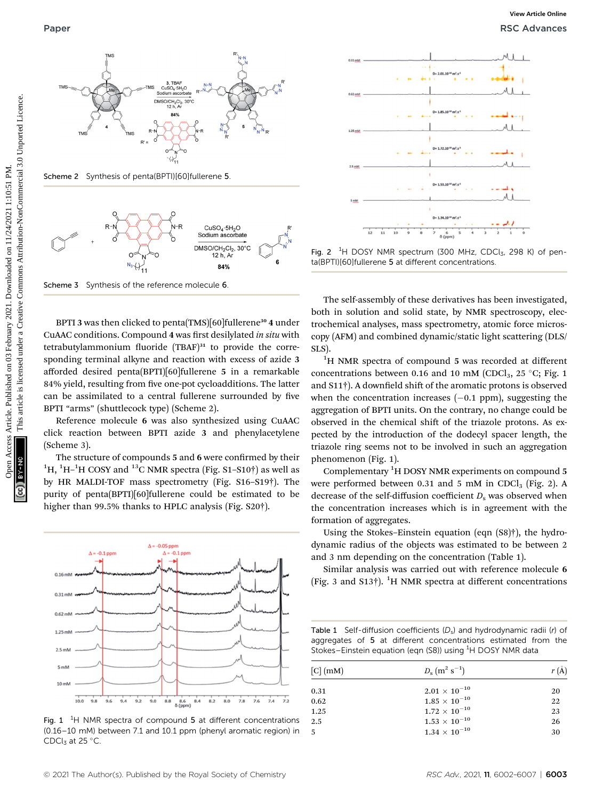

Scheme 2 Synthesis of penta(BPTI)[60]fullerene 5



Scheme 3 Synthesis of the reference molecule 6

BPTI 3 was then clicked to penta(TMS)[60]fullerene<sup>30</sup> 4 under CuAAC conditions. Compound 4 was first desilylated in situ with tetrabutylammonium fluoride  $(TBAF)^{31}$  to provide the corresponding terminal alkyne and reaction with excess of azide 3 afforded desired penta(BPTI)[60]fullerene 5 in a remarkable 84% yield, resulting from five one-pot cycloadditions. The latter can be assimilated to a central fullerene surrounded by five BPTI "arms" (shuttlecock type) (Scheme 2).

Reference molecule 6 was also synthesized using CuAAC click reaction between BPTI azide 3 and phenylacetylene (Scheme 3).

The structure of compounds 5 and 6 were confirmed by their  $^{1}$ H,  $^{1}$ H- $^{1}$ H COSY and  $^{13}$ C NMR spectra (Fig. S1-S10†) as well as by HR MALDI-TOF mass spectrometry (Fig. S16–S19†). The purity of penta(BPTI)[60]fullerene could be estimated to be higher than 99.5% thanks to HPLC analysis (Fig. S20†).



Fig. 1  $1$ <sup>4</sup>H NMR spectra of compound 5 at different concentrations (0.16–10 mM) between 7.1 and 10.1 ppm (phenyl aromatic region) in CDCl<sub>3</sub> at 25 °C.



Fig. 2  ${}^{1}$ H DOSY NMR spectrum (300 MHz, CDCl<sub>3</sub>, 298 K) of penta(BPTI)[60]fullerene 5 at different concentrations.

The self-assembly of these derivatives has been investigated, both in solution and solid state, by NMR spectroscopy, electrochemical analyses, mass spectrometry, atomic force microscopy (AFM) and combined dynamic/static light scattering (DLS/ SLS).

<sup>1</sup>H NMR spectra of compound 5 was recorded at different concentrations between 0.16 and 10 mM (CDCl<sub>3</sub>, 25 °C; Fig. 1 and  $S11\dagger$ ). A downfield shift of the aromatic protons is observed when the concentration increases  $(-0.1$  ppm), suggesting the aggregation of BPTI units. On the contrary, no change could be observed in the chemical shift of the triazole protons. As expected by the introduction of the dodecyl spacer length, the triazole ring seems not to be involved in such an aggregation phenomenon (Fig. 1).

Complementary <sup>1</sup>H DOSY NMR experiments on compound 5 were performed between 0.31 and 5 mM in CDCl<sub>3</sub> (Fig. 2). A decrease of the self-diffusion coefficient  $D<sub>s</sub>$  was observed when the concentration increases which is in agreement with the formation of aggregates.

Using the Stokes–Einstein equation (eqn (S8)†), the hydrodynamic radius of the objects was estimated to be between 2 and 3 nm depending on the concentration (Table 1).

Similar analysis was carried out with reference molecule 6 (Fig. 3 and S13†). <sup>1</sup>H NMR spectra at different concentrations

Table 1 Self-diffusion coefficients  $(D_s)$  and hydrodynamic radii (r) of aggregates of 5 at different concentrations estimated from the Stokes–Einstein equation (eqn (S8)) using <sup>1</sup>H DOSY NMR data

| $[C]$ (mM) | $D_{\rm s}$ $({\rm m}^2~{\rm s}^{-1})$ | r(A) |
|------------|----------------------------------------|------|
| 0.31       | $2.01 \times 10^{-10}$                 | 20   |
| 0.62       | $1.85\times10^{-10}$                   | 22   |
| 1.25       | $1.72 \times 10^{-10}$                 | 23   |
| 2.5        | $1.53 \times 10^{-10}$                 | 26   |
| .5         | $1.34 \times 10^{-10}$                 | 30   |
|            |                                        |      |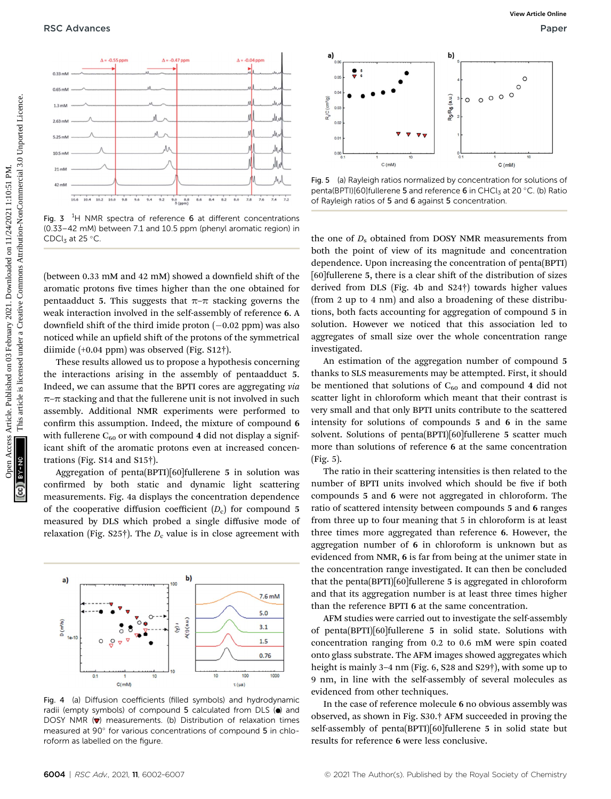

Fig. 3  $^{1}$ H NMR spectra of reference 6 at different concentrations (0.33–42 mM) between 7.1 and 10.5 ppm (phenyl aromatic region) in CDCl<sub>3</sub> at 25 $^{\circ}$ C.

(between  $0.33$  mM and  $42$  mM) showed a downfield shift of the aromatic protons five times higher than the one obtained for pentaadduct 5. This suggests that  $\pi-\pi$  stacking governs the weak interaction involved in the self-assembly of reference 6. A downfield shift of the third imide proton  $(-0.02$  ppm) was also noticed while an upfield shift of the protons of the symmetrical diimide (+0.04 ppm) was observed (Fig. S12†).

These results allowed us to propose a hypothesis concerning the interactions arising in the assembly of pentaadduct 5. Indeed, we can assume that the BPTI cores are aggregating via  $\pi$ – $\pi$  stacking and that the fullerene unit is not involved in such assembly. Additional NMR experiments were performed to confirm this assumption. Indeed, the mixture of compound 6 with fullerene  $C_{60}$  or with compound 4 did not display a significant shift of the aromatic protons even at increased concentrations (Fig. S14 and S15†).

Aggregation of penta(BPTI)[60]fullerene 5 in solution was confirmed by both static and dynamic light scattering measurements. Fig. 4a displays the concentration dependence of the cooperative diffusion coefficient  $(D_c)$  for compound 5 measured by DLS which probed a single diffusive mode of relaxation (Fig. S25†). The  $D_c$  value is in close agreement with



Fig. 4 (a) Diffusion coefficients (filled symbols) and hydrodynamic radii (empty symbols) of compound 5 calculated from DLS (.) and DOSY NMR  $(\nabla)$  measurements. (b) Distribution of relaxation times measured at 90° for various concentrations of compound 5 in chloroform as labelled on the figure.



Fig. 5 (a) Rayleigh ratios normalized by concentration for solutions of penta(BPTI)[60]fullerene 5 and reference 6 in CHCl<sub>3</sub> at 20 °C. (b) Ratio of Rayleigh ratios of 5 and 6 against 5 concentration.

the one of  $D_s$  obtained from DOSY NMR measurements from both the point of view of its magnitude and concentration dependence. Upon increasing the concentration of penta(BPTI) [60]fullerene 5, there is a clear shift of the distribution of sizes derived from DLS (Fig. 4b and S24†) towards higher values (from 2 up to 4 nm) and also a broadening of these distributions, both facts accounting for aggregation of compound 5 in solution. However we noticed that this association led to aggregates of small size over the whole concentration range investigated.

An estimation of the aggregation number of compound 5 thanks to SLS measurements may be attempted. First, it should be mentioned that solutions of  $C_{60}$  and compound 4 did not scatter light in chloroform which meant that their contrast is very small and that only BPTI units contribute to the scattered intensity for solutions of compounds 5 and 6 in the same solvent. Solutions of penta(BPTI)[60]fullerene 5 scatter much more than solutions of reference 6 at the same concentration (Fig. 5).

The ratio in their scattering intensities is then related to the number of BPTI units involved which should be five if both compounds 5 and 6 were not aggregated in chloroform. The ratio of scattered intensity between compounds 5 and 6 ranges from three up to four meaning that 5 in chloroform is at least three times more aggregated than reference 6. However, the aggregation number of 6 in chloroform is unknown but as evidenced from NMR, 6 is far from being at the unimer state in the concentration range investigated. It can then be concluded that the penta(BPTI)[60]fullerene 5 is aggregated in chloroform and that its aggregation number is at least three times higher than the reference BPTI 6 at the same concentration.

AFM studies were carried out to investigate the self-assembly of penta(BPTI)[60]fullerene 5 in solid state. Solutions with concentration ranging from 0.2 to 0.6 mM were spin coated onto glass substrate. The AFM images showed aggregates which height is mainly 3–4 nm (Fig. 6, S28 and S29†), with some up to 9 nm, in line with the self-assembly of several molecules as evidenced from other techniques.

In the case of reference molecule 6 no obvious assembly was observed, as shown in Fig. S30.† AFM succeeded in proving the self-assembly of penta(BPTI)[60]fullerene 5 in solid state but results for reference 6 were less conclusive.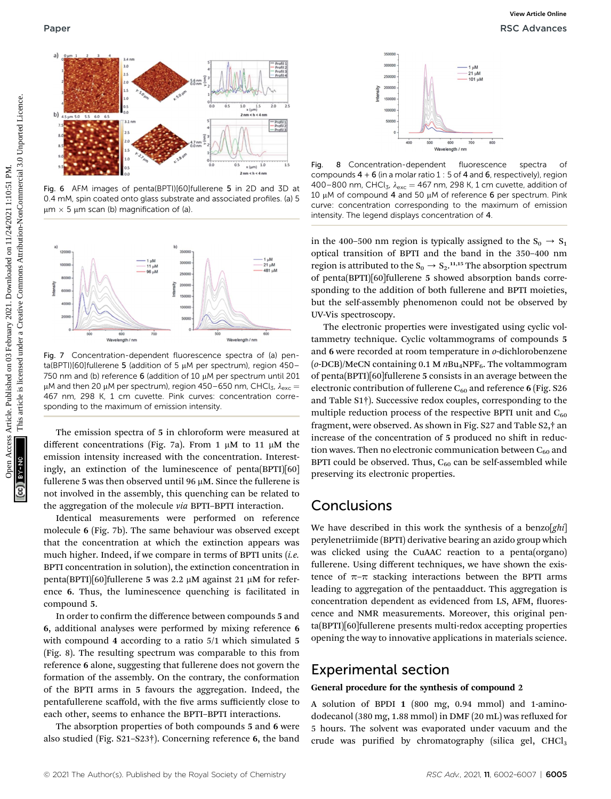

Fig. 6 AFM images of penta(BPTI)[60]fullerene 5 in 2D and 3D at 0.4 mM, spin coated onto glass substrate and associated profiles. (a) 5  $\mu$ m  $\times$  5  $\mu$ m scan (b) magnification of (a).



Fig. 7 Concentration-dependent fluorescence spectra of (a) penta(BPTI)[60]fullerene 5 (addition of 5  $\mu$ M per spectrum), region 450-750 nm and (b) reference 6 (addition of 10  $\mu$ M per spectrum until 201  $\mu$ M and then 20  $\mu$ M per spectrum), region 450–650 nm, CHCl<sub>3</sub>,  $\lambda_{\text{exc}} =$ 467 nm, 298 K, 1 cm cuvette. Pink curves: concentration corresponding to the maximum of emission intensity.

The emission spectra of 5 in chloroform were measured at different concentrations (Fig. 7a). From 1  $\mu$ M to 11  $\mu$ M the emission intensity increased with the concentration. Interestingly, an extinction of the luminescence of penta(BPTI)[60] fullerene 5 was then observed until 96  $\mu$ M. Since the fullerene is not involved in the assembly, this quenching can be related to the aggregation of the molecule via BPTI–BPTI interaction.

Identical measurements were performed on reference molecule 6 (Fig. 7b). The same behaviour was observed except that the concentration at which the extinction appears was much higher. Indeed, if we compare in terms of BPTI units  $(i.e.$ BPTI concentration in solution), the extinction concentration in penta(BPTI)[60]fullerene 5 was 2.2  $\mu$ M against 21  $\mu$ M for reference 6. Thus, the luminescence quenching is facilitated in compound 5.

In order to confirm the difference between compounds 5 and 6, additional analyses were performed by mixing reference 6 with compound 4 according to a ratio 5/1 which simulated 5 (Fig. 8). The resulting spectrum was comparable to this from reference 6 alone, suggesting that fullerene does not govern the formation of the assembly. On the contrary, the conformation of the BPTI arms in 5 favours the aggregation. Indeed, the pentafullerene scaffold, with the five arms sufficiently close to each other, seems to enhance the BPTI–BPTI interactions.

The absorption properties of both compounds 5 and 6 were also studied (Fig. S21–S23†). Concerning reference 6, the band



Fig. 8 Concentration-dependent fluorescence spectra of compounds  $4 + 6$  (in a molar ratio 1 : 5 of 4 and 6, respectively), region 400–800 nm, CHCl<sub>3</sub>,  $\lambda_{\text{exc}} = 467$  nm, 298 K, 1 cm cuvette, addition of 10  $\mu$ M of compound 4 and 50  $\mu$ M of reference 6 per spectrum. Pink curve: concentration corresponding to the maximum of emission intensity. The legend displays concentration of 4.

in the 400–500 nm region is typically assigned to the  $S_0 \rightarrow S_1$ optical transition of BPTI and the band in the 350–400 nm region is attributed to the  $S_0 \rightarrow S_2$ .<sup>11,15</sup> The absorption spectrum of penta(BPTI)[60]fullerene 5 showed absorption bands corresponding to the addition of both fullerene and BPTI moieties, but the self-assembly phenomenon could not be observed by UV-Vis spectroscopy.

The electronic properties were investigated using cyclic voltammetry technique. Cyclic voltammograms of compounds 5 and 6 were recorded at room temperature in *o*-dichlorobenzene  $(o$ -DCB)/MeCN containing 0.1 M  $nBu$ <sub>4</sub>NPF<sub>6</sub>. The voltammogram of penta(BPTI)[60]fullerene 5 consists in an average between the electronic contribution of fullerene  $C_{60}$  and reference 6 (Fig. S26 and Table S1†). Successive redox couples, corresponding to the multiple reduction process of the respective BPTI unit and  $C_{60}$ fragment, were observed. As shown in Fig. S27 and Table S2,† an increase of the concentration of 5 produced no shift in reduction waves. Then no electronic communication between  $C_{60}$  and BPTI could be observed. Thus,  $C_{60}$  can be self-assembled while preserving its electronic properties. Published on 03 February 2021. Downloaded on 11/24/2022. The state of the creative commons are also are also are also are also are also are also are also are also are also are also are also are also are also are also are

## Conclusions

We have described in this work the synthesis of a benzo $[ghi]$ perylenetriimide (BPTI) derivative bearing an azido group which was clicked using the CuAAC reaction to a penta(organo) fullerene. Using different techniques, we have shown the existence of  $\pi$ – $\pi$  stacking interactions between the BPTI arms leading to aggregation of the pentaadduct. This aggregation is concentration dependent as evidenced from LS, AFM, fluorescence and NMR measurements. Moreover, this original penta(BPTI)[60]fullerene presents multi-redox accepting properties opening the way to innovative applications in materials science.

### Experimental section

#### General procedure for the synthesis of compound 2

A solution of BPDI 1 (800 mg, 0.94 mmol) and 1-aminododecanol (380 mg,  $1.88$  mmol) in DMF (20 mL) was refluxed for 5 hours. The solvent was evaporated under vacuum and the crude was purified by chromatography (silica gel,  $CHCl<sub>3</sub>$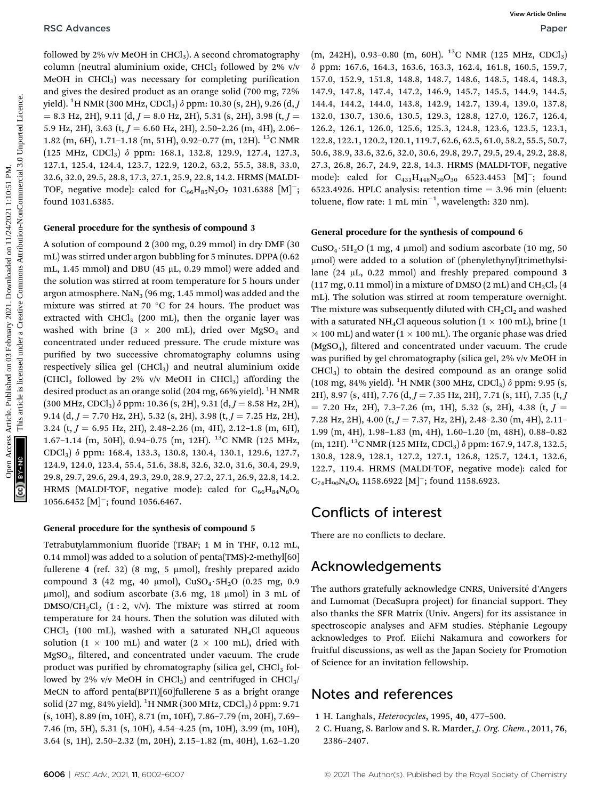followed by 2% v/v MeOH in CHCl<sub>3</sub>). A second chromatography column (neutral aluminium oxide, CHCl<sub>3</sub> followed by 2% v/v MeOH in  $CHCl<sub>3</sub>$ ) was necessary for completing purification and gives the desired product as an orange solid (700 mg, 72% yield).  $^{1}$ H NMR (300 MHz, CDCl $_{3})$   $\delta$  ppm: 10.30 (s, 2H), 9.26 (d,  $J$  $= 8.3$  Hz, 2H), 9.11 (d,  $J = 8.0$  Hz, 2H), 5.31 (s, 2H), 3.98 (t,  $J =$ 5.9 Hz, 2H), 3.63 (t,  $J = 6.60$  Hz, 2H), 2.50–2.26 (m, 4H), 2.06– 1.82 (m, 6H), 1.71–1.18 (m, 51H), 0.92–0.77 (m, 12H). <sup>13</sup>C NMR (125 MHz, CDCl3) d ppm: 168.1, 132.8, 129.9, 127.4, 127.3, 127.1, 125.4, 124.4, 123.7, 122.9, 120.2, 63.2, 55.5, 38.8, 33.0, 32.6, 32.0, 29.5, 28.8, 17.3, 27.1, 25.9, 22.8, 14.2. HRMS (MALDI-TOF, negative mode): calcd for  $C_{66}H_{85}N_3O_7$  1031.6388 [M]<sup>-</sup>; found 1031.6385.

#### General procedure for the synthesis of compound 3

A solution of compound 2 (300 mg, 0.29 mmol) in dry DMF (30 mL) was stirred under argon bubbling for 5 minutes. DPPA (0.62 mL, 1.45 mmol) and DBU (45  $\mu$ L, 0.29 mmol) were added and the solution was stirred at room temperature for 5 hours under argon atmosphere.  $\text{NaN}_3$  (96 mg, 1.45 mmol) was added and the mixture was stirred at 70  $\degree$ C for 24 hours. The product was extracted with  $CHCl<sub>3</sub>$  (200 mL), then the organic layer was washed with brine (3  $\times$  200 mL), dried over MgSO<sub>4</sub> and concentrated under reduced pressure. The crude mixture was purified by two successive chromatography columns using respectively silica gel  $(CHCl<sub>3</sub>)$  and neutral aluminium oxide (CHCl<sub>3</sub> followed by 2% v/v MeOH in CHCl<sub>3</sub>) affording the desired product as an orange solid (204 mg, 66% yield). <sup>1</sup>H NMR  $(300 \text{ MHz}, \text{CDCl}_3)$   $\delta$  ppm: 10.36  $(s, 2H), 9.31$   $(d, J = 8.58 \text{ Hz}, 2H)$ , 9.14 (d,  $J = 7.70$  Hz, 2H), 5.32 (s, 2H), 3.98 (t,  $J = 7.25$  Hz, 2H), 3.24 (t,  $J = 6.95$  Hz, 2H), 2.48-2.26 (m, 4H), 2.12-1.8 (m, 6H), 1.67–1.14 (m, 50H), 0.94–0.75 (m, 12H). 13C NMR (125 MHz, CDCl3) d ppm: 168.4, 133.3, 130.8, 130.4, 130.1, 129.6, 127.7, 124.9, 124.0, 123.4, 55.4, 51.6, 38.8, 32.6, 32.0, 31.6, 30.4, 29.9, 29.8, 29.7, 29.6, 29.4, 29.3, 29.0, 28.9, 27.2, 27.1, 26.9, 22.8, 14.2. HRMS (MALDI-TOF, negative mode): calcd for  $C_{66}H_{84}N_6O_6$ 1056.6452 [M]<sup>-</sup>; found 1056.6467. Open Access Article. Published on 03 February 2021. Downloaded on 11/24/2021 1:10:51 PM. This article is licensed under a [Creative Commons Attribution-NonCommercial 3.0 Unported Licence.](http://creativecommons.org/licenses/by-nc/3.0/) **[View Article Online](https://doi.org/10.1039/d1ra00287b)**

#### General procedure for the synthesis of compound 5

Tetrabutylammonium fluoride (TBAF; 1 M in THF, 0.12 mL, 0.14 mmol) was added to a solution of penta(TMS)-2-methyl[60] fullerene 4 (ref. 32) (8 mg, 5  $\mu$ mol), freshly prepared azido compound 3 (42 mg, 40 µmol),  $CuSO_4·5H_2O$  (0.25 mg, 0.9  $\mu$ mol), and sodium ascorbate (3.6 mg, 18  $\mu$ mol) in 3 mL of  $DMSO/CH_2Cl_2$  (1 : 2, v/v). The mixture was stirred at room temperature for 24 hours. Then the solution was diluted with CHCl<sub>3</sub> (100 mL), washed with a saturated NH<sub>4</sub>Cl aqueous solution (1  $\times$  100 mL) and water (2  $\times$  100 mL), dried with  $MgSO<sub>4</sub>$ , filtered, and concentrated under vacuum. The crude product was purified by chromatography (silica gel,  $CHCl<sub>3</sub>$  followed by 2% v/v MeOH in CHCl<sub>3</sub>) and centrifuged in CHCl<sub>3</sub>/ MeCN to afford penta(BPTI)[60]fullerene 5 as a bright orange solid (27 mg, 84% yield).  $^{1}$ H NMR (300 MHz, CDCl<sub>3</sub>)  $\delta$  ppm: 9.71 (s, 10H), 8.89 (m, 10H), 8.71 (m, 10H), 7.86–7.79 (m, 20H), 7.69– 7.46 (m, 5H), 5.31 (s, 10H), 4.54–4.25 (m, 10H), 3.99 (m, 10H), 3.64 (s, 1H), 2.50–2.32 (m, 20H), 2.15–1.82 (m, 40H), 1.62–1.20

 $(m, 242H), 0.93-0.80$   $(m, 60H).$  <sup>13</sup>C NMR (125 MHz, CDCl<sub>3</sub>) d ppm: 167.6, 164.3, 163.6, 163.3, 162.4, 161.8, 160.5, 159.7, 157.0, 152.9, 151.8, 148.8, 148.7, 148.6, 148.5, 148.4, 148.3, 147.9, 147.8, 147.4, 147.2, 146.9, 145.7, 145.5, 144.9, 144.5, 144.4, 144.2, 144.0, 143.8, 142.9, 142.7, 139.4, 139.0, 137.8, 132.0, 130.7, 130.6, 130.5, 129.3, 128.8, 127.0, 126.7, 126.4, 126.2, 126.1, 126.0, 125.6, 125.3, 124.8, 123.6, 123.5, 123.1, 122.8, 122.1, 120.2, 120.1, 119.7, 62.6, 62.5, 61.0, 58.2, 55.5, 50.7, 50.6, 38.9, 33.6, 32.6, 32.0, 30.6, 29.8, 29.7, 29.5, 29.4, 29.2, 28.8, 27.3, 26.8, 26.7, 24.9, 22.8, 14.3. HRMS (MALDI-TOF, negative mode): calcd for  $C_{431}H_{448}N_{30}O_{30}$  6523.4453 [M]<sup>-</sup>; found 6523.4926. HPLC analysis: retention time  $=$  3.96 min (eluent: toluene, flow rate: 1 mL  $\text{min}^{-1}$ , wavelength: 320 nm).

#### General procedure for the synthesis of compound 6

CuSO<sub>4</sub> · 5H<sub>2</sub>O (1 mg, 4 µmol) and sodium ascorbate (10 mg, 50 mmol) were added to a solution of (phenylethynyl)trimethylsilane (24  $\mu$ L, 0.22 mmol) and freshly prepared compound 3 (117 mg, 0.11 mmol) in a mixture of DMSO (2 mL) and  $CH_2Cl_2$  (4 mL). The solution was stirred at room temperature overnight. The mixture was subsequently diluted with  $CH<sub>2</sub>Cl<sub>2</sub>$  and washed with a saturated NH<sub>4</sub>Cl aqueous solution ( $1 \times 100$  mL), brine (1  $\times$  100 mL) and water (1  $\times$  100 mL). The organic phase was dried  $(MgSO<sub>4</sub>)$ , filtered and concentrated under vacuum. The crude was purified by gel chromatography (silica gel, 2% v/v MeOH in  $CHCl<sub>3</sub>$ ) to obtain the desired compound as an orange solid (108 mg, 84% yield). <sup>1</sup>H NMR (300 MHz, CDCl<sub>3</sub>)  $\delta$  ppm: 9.95 (s, 2H), 8.97 (s, 4H), 7.76 (d,  $J = 7.35$  Hz, 2H), 7.71 (s, 1H), 7.35 (t,  $J$  $= 7.20$  Hz, 2H), 7.3-7.26 (m, 1H), 5.32 (s, 2H), 4.38 (t,  $J =$ 7.28 Hz, 2H), 4.00 (t,  $J = 7.37$ , Hz, 2H), 2.48–2.30 (m, 4H), 2.11– 1.99 (m, 4H), 1.98–1.83 (m, 4H), 1.60–1.20 (m, 48H), 0.88–0.82  $(m, 12H)$ . <sup>13</sup>C NMR (125 MHz, CDCl<sub>3</sub>)  $\delta$  ppm: 167.9, 147.8, 132.5, 130.8, 128.9, 128.1, 127.2, 127.1, 126.8, 125.7, 124.1, 132.6, 122.7, 119.4. HRMS (MALDI-TOF, negative mode): calcd for  $C_{74}H_{90}N_6O_6$  1158.6922 [M]<sup>-</sup>; found 1158.6923.

### Conflicts of interest

There are no conflicts to declare.

### Acknowledgements

The authors gratefully acknowledge CNRS, Université d'Angers and Lumomat (DecaSupra project) for financial support. They also thanks the SFR Matrix (Univ. Angers) for its assistance in spectroscopic analyses and AFM studies. Stéphanie Legoupy acknowledges to Prof. Eiichi Nakamura and coworkers for fruitful discussions, as well as the Japan Society for Promotion of Science for an invitation fellowship.

### Notes and references

- 1 H. Langhals, Heterocycles, 1995, 40, 477–500.
- 2 C. Huang, S. Barlow and S. R. Marder, J. Org. Chem., 2011, 76, 2386–2407.